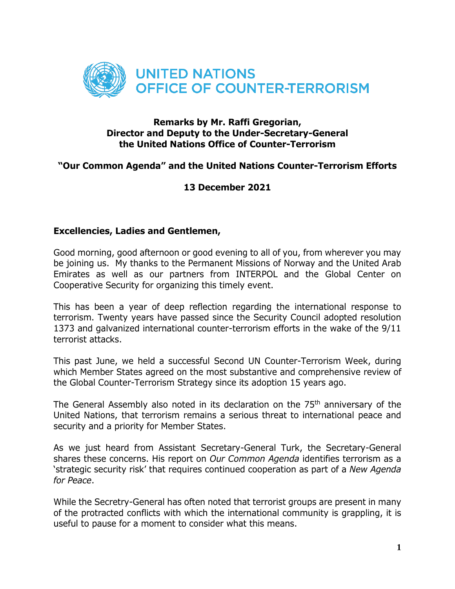

## **Remarks by Mr. Raffi Gregorian, Director and Deputy to the Under-Secretary-General the United Nations Office of Counter-Terrorism**

## **"Our Common Agenda" and the United Nations Counter-Terrorism Efforts**

## **13 December 2021**

## **Excellencies, Ladies and Gentlemen,**

Good morning, good afternoon or good evening to all of you, from wherever you may be joining us. My thanks to the Permanent Missions of Norway and the United Arab Emirates as well as our partners from INTERPOL and the Global Center on Cooperative Security for organizing this timely event.

This has been a year of deep reflection regarding the international response to terrorism. Twenty years have passed since the Security Council adopted resolution 1373 and galvanized international counter-terrorism efforts in the wake of the 9/11 terrorist attacks.

This past June, we held a successful Second UN Counter-Terrorism Week, during which Member States agreed on the most substantive and comprehensive review of the Global Counter-Terrorism Strategy since its adoption 15 years ago.

The General Assembly also noted in its declaration on the 75<sup>th</sup> anniversary of the United Nations, that terrorism remains a serious threat to international peace and security and a priority for Member States.

As we just heard from Assistant Secretary-General Turk, the Secretary-General shares these concerns. His report on *Our Common Agenda* identifies terrorism as a 'strategic security risk' that requires continued cooperation as part of a *New Agenda for Peace*.

While the Secretry-General has often noted that terrorist groups are present in many of the protracted conflicts with which the international community is grappling, it is useful to pause for a moment to consider what this means.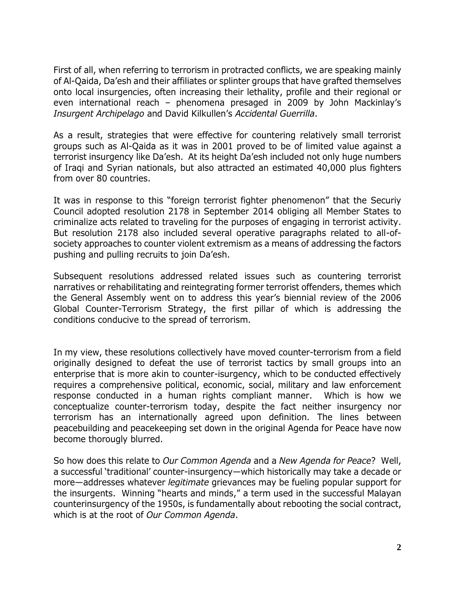First of all, when referring to terrorism in protracted conflicts, we are speaking mainly of Al-Qaida, Da'esh and their affiliates or splinter groups that have grafted themselves onto local insurgencies, often increasing their lethality, profile and their regional or even international reach – phenomena presaged in 2009 by John Mackinlay's *Insurgent Archipelago* and David Kilkullen's *Accidental Guerrilla*.

As a result, strategies that were effective for countering relatively small terrorist groups such as Al-Qaida as it was in 2001 proved to be of limited value against a terrorist insurgency like Da'esh. At its height Da'esh included not only huge numbers of Iraqi and Syrian nationals, but also attracted an estimated 40,000 plus fighters from over 80 countries.

It was in response to this "foreign terrorist fighter phenomenon" that the Securiy Council adopted resolution 2178 in September 2014 obliging all Member States to criminalize acts related to traveling for the purposes of engaging in terrorist activity. But resolution 2178 also included several operative paragraphs related to all-ofsociety approaches to counter violent extremism as a means of addressing the factors pushing and pulling recruits to join Da'esh.

Subsequent resolutions addressed related issues such as countering terrorist narratives or rehabilitating and reintegrating former terrorist offenders, themes which the General Assembly went on to address this year's biennial review of the 2006 Global Counter-Terrorism Strategy, the first pillar of which is addressing the conditions conducive to the spread of terrorism.

In my view, these resolutions collectively have moved counter-terrorism from a field originally designed to defeat the use of terrorist tactics by small groups into an enterprise that is more akin to counter-isurgency, which to be conducted effectively requires a comprehensive political, economic, social, military and law enforcement response conducted in a human rights compliant manner. Which is how we conceptualize counter-terrorism today, despite the fact neither insurgency nor terrorism has an internationally agreed upon definition. The lines between peacebuilding and peacekeeping set down in the original Agenda for Peace have now become thorougly blurred.

So how does this relate to *Our Common Agenda* and a *New Agenda for Peace*? Well, a successful 'traditional' counter-insurgency—which historically may take a decade or more—addresses whatever *legitimate* grievances may be fueling popular support for the insurgents. Winning "hearts and minds," a term used in the successful Malayan counterinsurgency of the 1950s, is fundamentally about rebooting the social contract, which is at the root of *Our Common Agenda*.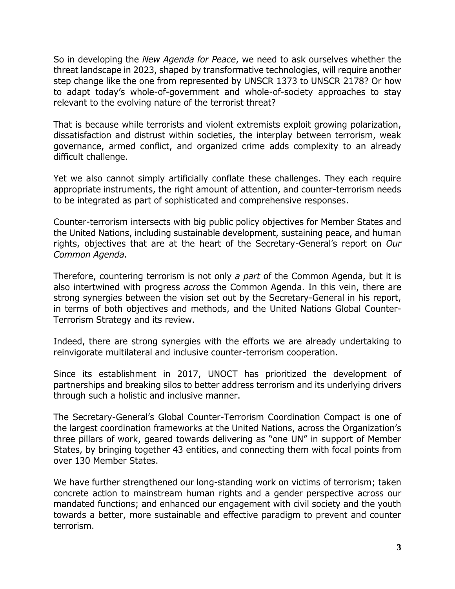So in developing the *New Agenda for Peace*, we need to ask ourselves whether the threat landscape in 2023, shaped by transformative technologies, will require another step change like the one from represented by UNSCR 1373 to UNSCR 2178? Or how to adapt today's whole-of-government and whole-of-society approaches to stay relevant to the evolving nature of the terrorist threat?

That is because while terrorists and violent extremists exploit growing polarization, dissatisfaction and distrust within societies, the interplay between terrorism, weak governance, armed conflict, and organized crime adds complexity to an already difficult challenge.

Yet we also cannot simply artificially conflate these challenges. They each require appropriate instruments, the right amount of attention, and counter-terrorism needs to be integrated as part of sophisticated and comprehensive responses.

Counter-terrorism intersects with big public policy objectives for Member States and the United Nations, including sustainable development, sustaining peace, and human rights, objectives that are at the heart of the Secretary-General's report on *Our Common Agenda.*

Therefore, countering terrorism is not only *a part* of the Common Agenda, but it is also intertwined with progress *across* the Common Agenda. In this vein, there are strong synergies between the vision set out by the Secretary-General in his report, in terms of both objectives and methods, and the United Nations Global Counter-Terrorism Strategy and its review.

Indeed, there are strong synergies with the efforts we are already undertaking to reinvigorate multilateral and inclusive counter-terrorism cooperation.

Since its establishment in 2017, UNOCT has prioritized the development of partnerships and breaking silos to better address terrorism and its underlying drivers through such a holistic and inclusive manner.

The Secretary-General's Global Counter-Terrorism Coordination Compact is one of the largest coordination frameworks at the United Nations, across the Organization's three pillars of work, geared towards delivering as "one UN" in support of Member States, by bringing together 43 entities, and connecting them with focal points from over 130 Member States.

We have further strengthened our long-standing work on victims of terrorism; taken concrete action to mainstream human rights and a gender perspective across our mandated functions; and enhanced our engagement with civil society and the youth towards a better, more sustainable and effective paradigm to prevent and counter terrorism.